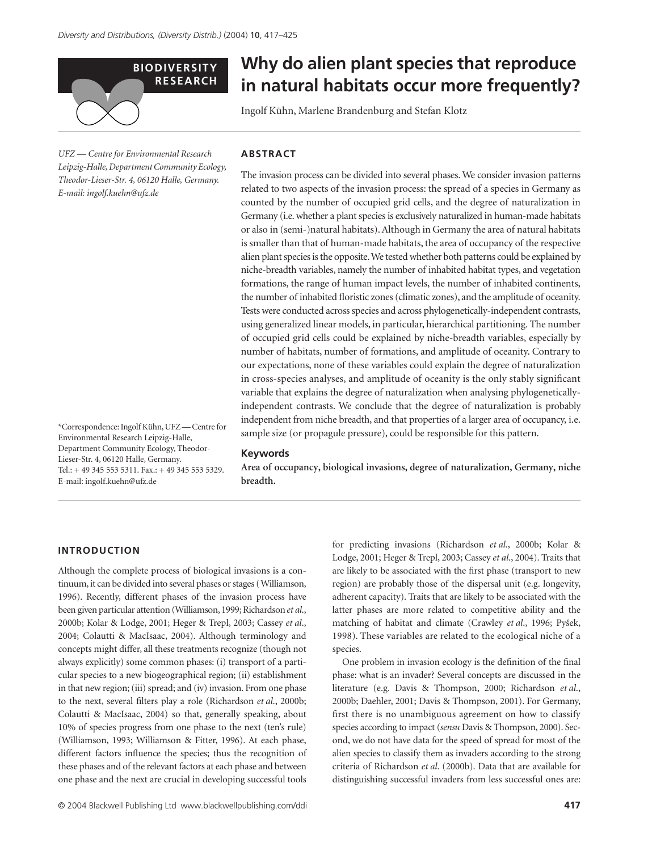

# **Why do alien plant species that reproduce in natural habitats occur more frequently?**

Ingolf Kühn, Marlene Brandenburg and Stefan Klotz

*UFZ — Centre for Environmental Research Leipzig-Halle, Department Community Ecology, Theodor-Lieser-Str. 4, 06120 Halle, Germany. E-mail: ingolf.kuehn@ufz.de* 

\*Correspondence: Ingolf Kühn, UFZ — Centre for Environmental Research Leipzig-Halle, Department Community Ecology, Theodor-Lieser-Str. 4, 06120 Halle, Germany.

Tel.: + 49 345 553 5311. Fax.: + 49 345 553 5329.

**ABSTRACT**

The invasion process can be divided into several phases. We consider invasion patterns related to two aspects of the invasion process: the spread of a species in Germany as counted by the number of occupied grid cells, and the degree of naturalization in Germany (i.e. whether a plant species is exclusively naturalized in human-made habitats or also in (semi-)natural habitats). Although in Germany the area of natural habitats is smaller than that of human-made habitats, the area of occupancy of the respective alien plant species is the opposite. We tested whether both patterns could be explained by niche-breadth variables, namely the number of inhabited habitat types, and vegetation formations, the range of human impact levels, the number of inhabited continents, the number of inhabited floristic zones (climatic zones), and the amplitude of oceanity. Tests were conducted across species and across phylogenetically-independent contrasts, using generalized linear models, in particular, hierarchical partitioning. The number of occupied grid cells could be explained by niche-breadth variables, especially by number of habitats, number of formations, and amplitude of oceanity. Contrary to our expectations, none of these variables could explain the degree of naturalization in cross-species analyses, and amplitude of oceanity is the only stably significant variable that explains the degree of naturalization when analysing phylogeneticallyindependent contrasts. We conclude that the degree of naturalization is probably independent from niche breadth, and that properties of a larger area of occupancy, i.e. sample size (or propagule pressure), could be responsible for this pattern.

#### **Keywords**

**Area of occupancy, biological invasions, degree of naturalization, Germany, niche breadth.**

## **INTRODUCTION**

E-mail: ingolf.kuehn@ufz.de

Although the complete process of biological invasions is a continuum, it can be divided into several phases or stages (Williamson, 1996). Recently, different phases of the invasion process have been given particular attention (Williamson, 1999; Richardson *et al*., 2000b; Kolar & Lodge, 2001; Heger & Trepl, 2003; Cassey *et al*., 2004; Colautti & MacIsaac, 2004). Although terminology and concepts might differ, all these treatments recognize (though not always explicitly) some common phases: (i) transport of a particular species to a new biogeographical region; (ii) establishment in that new region; (iii) spread; and (iv) invasion. From one phase to the next, several filters play a role (Richardson *et al*., 2000b; Colautti & MacIsaac, 2004) so that, generally speaking, about 10% of species progress from one phase to the next (ten's rule) (Williamson, 1993; Williamson & Fitter, 1996). At each phase, different factors influence the species; thus the recognition of these phases and of the relevant factors at each phase and between one phase and the next are crucial in developing successful tools

for predicting invasions (Richardson *et al*., 2000b; Kolar & Lodge, 2001; Heger & Trepl, 2003; Cassey *et al*., 2004). Traits that are likely to be associated with the first phase (transport to new region) are probably those of the dispersal unit (e.g. longevity, adherent capacity). Traits that are likely to be associated with the latter phases are more related to competitive ability and the matching of habitat and climate (Crawley *et al*., 1996; Py*Í*ek, 1998). These variables are related to the ecological niche of a species.

One problem in invasion ecology is the definition of the final phase: what is an invader? Several concepts are discussed in the literature (e.g. Davis & Thompson, 2000; Richardson *et al*., 2000b; Daehler, 2001; Davis & Thompson, 2001). For Germany, first there is no unambiguous agreement on how to classify species according to impact (*sensu* Davis & Thompson, 2000). Second, we do not have data for the speed of spread for most of the alien species to classify them as invaders according to the strong criteria of Richardson *et al*. (2000b). Data that are available for distinguishing successful invaders from less successful ones are: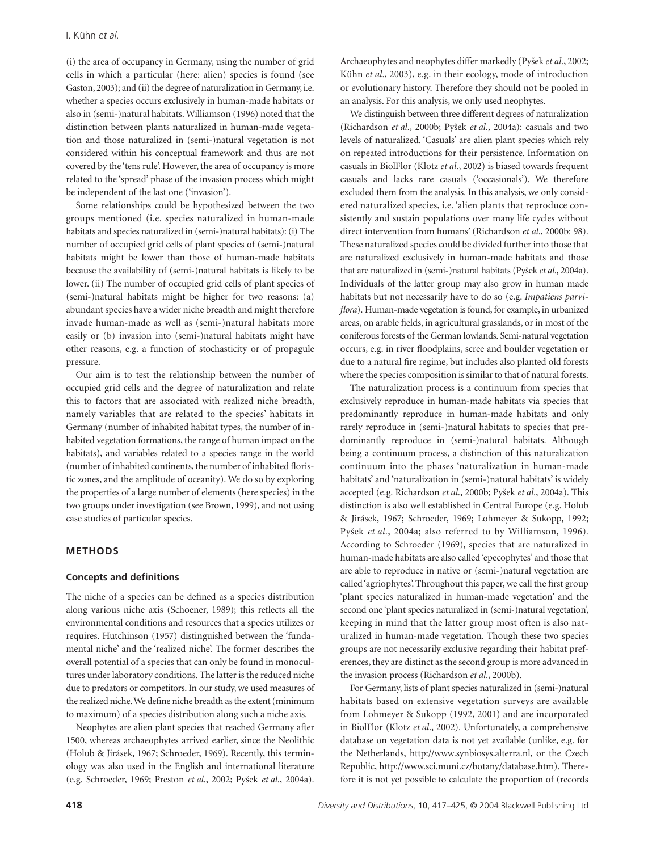(i) the area of occupancy in Germany, using the number of grid cells in which a particular (here: alien) species is found (see Gaston, 2003); and (ii) the degree of naturalization in Germany, i.e. whether a species occurs exclusively in human-made habitats or also in (semi-)natural habitats. Williamson (1996) noted that the distinction between plants naturalized in human-made vegetation and those naturalized in (semi-)natural vegetation is not considered within his conceptual framework and thus are not covered by the 'tens rule'. However, the area of occupancy is more related to the 'spread' phase of the invasion process which might be independent of the last one ('invasion').

Some relationships could be hypothesized between the two groups mentioned (i.e. species naturalized in human-made habitats and species naturalized in (semi-)natural habitats): (i) The number of occupied grid cells of plant species of (semi-)natural habitats might be lower than those of human-made habitats because the availability of (semi-)natural habitats is likely to be lower. (ii) The number of occupied grid cells of plant species of (semi-)natural habitats might be higher for two reasons: (a) abundant species have a wider niche breadth and might therefore invade human-made as well as (semi-)natural habitats more easily or (b) invasion into (semi-)natural habitats might have other reasons, e.g. a function of stochasticity or of propagule pressure.

Our aim is to test the relationship between the number of occupied grid cells and the degree of naturalization and relate this to factors that are associated with realized niche breadth, namely variables that are related to the species' habitats in Germany (number of inhabited habitat types, the number of inhabited vegetation formations, the range of human impact on the habitats), and variables related to a species range in the world (number of inhabited continents, the number of inhabited floristic zones, and the amplitude of oceanity). We do so by exploring the properties of a large number of elements (here species) in the two groups under investigation (see Brown, 1999), and not using case studies of particular species.

# **METHODS**

#### **Concepts and definitions**

The niche of a species can be defined as a species distribution along various niche axis (Schoener, 1989); this reflects all the environmental conditions and resources that a species utilizes or requires. Hutchinson (1957) distinguished between the 'fundamental niche' and the 'realized niche'. The former describes the overall potential of a species that can only be found in monocultures under laboratory conditions. The latter is the reduced niche due to predators or competitors. In our study, we used measures of the realized niche. We define niche breadth as the extent (minimum to maximum) of a species distribution along such a niche axis.

Neophytes are alien plant species that reached Germany after 1500, whereas archaeophytes arrived earlier, since the Neolithic (Holub & Jirásek, 1967; Schroeder, 1969). Recently, this terminology was also used in the English and international literature (e.g. Schroeder, 1969; Preston *et al*., 2002; Py*Í*ek *et al*., 2004a). Archaeophytes and neophytes differ markedly (Py*Í*ek *et al*., 2002; Kühn *et al*., 2003), e.g. in their ecology, mode of introduction or evolutionary history. Therefore they should not be pooled in an analysis. For this analysis, we only used neophytes.

We distinguish between three different degrees of naturalization (Richardson *et al*., 2000b; Py*Í*ek *et al*., 2004a): casuals and two levels of naturalized. 'Casuals' are alien plant species which rely on repeated introductions for their persistence. Information on casuals in BiolFlor (Klotz *et al*., 2002) is biased towards frequent casuals and lacks rare casuals ('occasionals'). We therefore excluded them from the analysis. In this analysis, we only considered naturalized species, i.e. 'alien plants that reproduce consistently and sustain populations over many life cycles without direct intervention from humans' (Richardson *et al*., 2000b: 98). These naturalized species could be divided further into those that are naturalized exclusively in human-made habitats and those that are naturalized in (semi-)natural habitats (Py*Í*ek *et al*., 2004a). Individuals of the latter group may also grow in human made habitats but not necessarily have to do so (e.g. *Impatiens parviflora*). Human-made vegetation is found, for example, in urbanized areas, on arable fields, in agricultural grasslands, or in most of the coniferous forests of the German lowlands. Semi-natural vegetation occurs, e.g. in river floodplains, scree and boulder vegetation or due to a natural fire regime, but includes also planted old forests where the species composition is similar to that of natural forests.

The naturalization process is a continuum from species that exclusively reproduce in human-made habitats via species that predominantly reproduce in human-made habitats and only rarely reproduce in (semi-)natural habitats to species that predominantly reproduce in (semi-)natural habitats. Although being a continuum process, a distinction of this naturalization continuum into the phases 'naturalization in human-made habitats' and 'naturalization in (semi-)natural habitats' is widely accepted (e.g. Richardson *et al*., 2000b; Py*Í*ek *et al*., 2004a). This distinction is also well established in Central Europe (e.g. Holub & Jirásek, 1967; Schroeder, 1969; Lohmeyer & Sukopp, 1992; Py*Í*ek *et al*., 2004a; also referred to by Williamson, 1996). According to Schroeder (1969), species that are naturalized in human-made habitats are also called 'epecophytes' and those that are able to reproduce in native or (semi-)natural vegetation are called 'agriophytes'. Throughout this paper, we call the first group 'plant species naturalized in human-made vegetation' and the second one 'plant species naturalized in (semi-)natural vegetation', keeping in mind that the latter group most often is also naturalized in human-made vegetation. Though these two species groups are not necessarily exclusive regarding their habitat preferences, they are distinct as the second group is more advanced in the invasion process (Richardson *et al*., 2000b).

For Germany, lists of plant species naturalized in (semi-)natural habitats based on extensive vegetation surveys are available from Lohmeyer & Sukopp (1992, 2001) and are incorporated in BiolFlor (Klotz *et al*., 2002). Unfortunately, a comprehensive database on vegetation data is not yet available (unlike, e.g. for the Netherlands, [http://www.synbiosys.alterra.nl,](http://www.synbiosys.alterra.nl) or the Czech Republic, [http://www.sci.muni.cz/botany/database.htm\).](http://www.sci.muni.cz/botany/database.htm) Therefore it is not yet possible to calculate the proportion of (records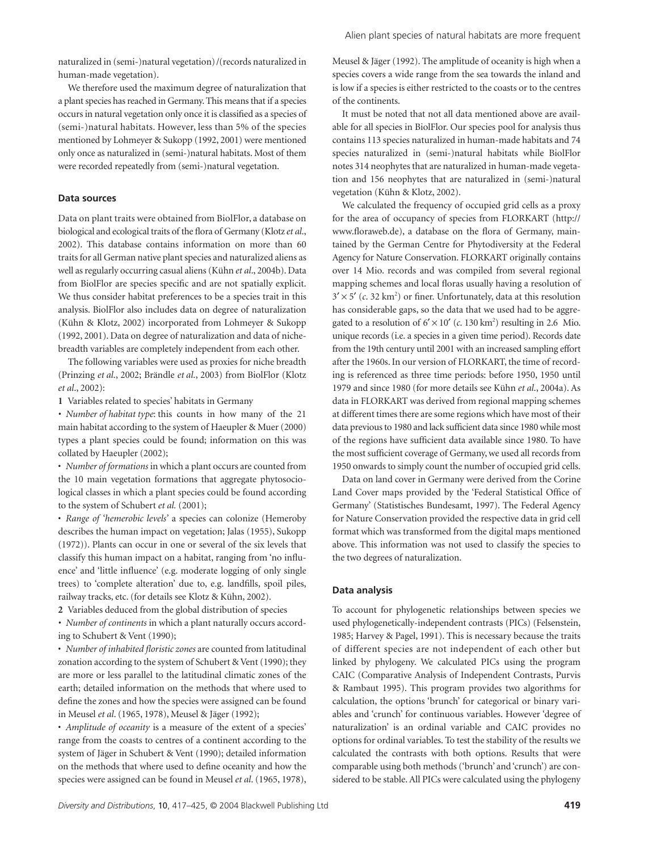naturalized in (semi-)natural vegetation)/(records naturalized in human-made vegetation).

We therefore used the maximum degree of naturalization that a plant species has reached in Germany. This means that if a species occurs in natural vegetation only once it is classified as a species of (semi-)natural habitats. However, less than 5% of the species mentioned by Lohmeyer & Sukopp (1992, 2001) were mentioned only once as naturalized in (semi-)natural habitats. Most of them were recorded repeatedly from (semi-)natural vegetation.

#### **Data sources**

Data on plant traits were obtained from BiolFlor, a database on biological and ecological traits of the flora of Germany (Klotz *et al*., 2002). This database contains information on more than 60 traits for all German native plant species and naturalized aliens as well as regularly occurring casual aliens (Kühn *et al*., 2004b). Data from BiolFlor are species specific and are not spatially explicit. We thus consider habitat preferences to be a species trait in this analysis. BiolFlor also includes data on degree of naturalization (Kühn & Klotz, 2002) incorporated from Lohmeyer & Sukopp (1992, 2001). Data on degree of naturalization and data of nichebreadth variables are completely independent from each other.

The following variables were used as proxies for niche breadth (Prinzing *et al*., 2002; Brändle *et al*., 2003) from BiolFlor (Klotz *et al*., 2002):

**1** Variables related to species' habitats in Germany

*• Number of habitat type*: this counts in how many of the 21 main habitat according to the system of Haeupler & Muer (2000) types a plant species could be found; information on this was collated by Haeupler (2002);

• *Number of formations* in which a plant occurs are counted from the 10 main vegetation formations that aggregate phytosociological classes in which a plant species could be found according to the system of Schubert *et al.* (2001);

• *Range of 'hemerobic levels'* a species can colonize (Hemeroby describes the human impact on vegetation; Jalas (1955), Sukopp (1972)). Plants can occur in one or several of the six levels that classify this human impact on a habitat, ranging from 'no influence' and 'little influence' (e.g. moderate logging of only single trees) to 'complete alteration' due to, e.g. landfills, spoil piles, railway tracks, etc. (for details see Klotz & Kühn, 2002).

**2** Variables deduced from the global distribution of species

*• Number of continents* in which a plant naturally occurs according to Schubert & Vent (1990);

• *Number of inhabited floristic zones* are counted from latitudinal zonation according to the system of Schubert & Vent (1990); they are more or less parallel to the latitudinal climatic zones of the earth; detailed information on the methods that where used to define the zones and how the species were assigned can be found in Meusel *et al*. (1965, 1978), Meusel & Jäger (1992);

• *Amplitude of oceanity* is a measure of the extent of a species' range from the coasts to centres of a continent according to the system of Jäger in Schubert & Vent (1990); detailed information on the methods that where used to define oceanity and how the species were assigned can be found in Meusel *et al*. (1965, 1978), Meusel & Jäger (1992). The amplitude of oceanity is high when a species covers a wide range from the sea towards the inland and is low if a species is either restricted to the coasts or to the centres of the continents.

It must be noted that not all data mentioned above are available for all species in BiolFlor. Our species pool for analysis thus contains 113 species naturalized in human-made habitats and 74 species naturalized in (semi-)natural habitats while BiolFlor notes 314 neophytes that are naturalized in human-made vegetation and 156 neophytes that are naturalized in (semi-)natural vegetation (Kühn & Klotz, 2002).

We calculated the frequency of occupied grid cells as a proxy for the area of occupancy of species from FLORKART [\(http://](http://) www.floraweb.de), a database on the flora of Germany, maintained by the German Centre for Phytodiversity at the Federal Agency for Nature Conservation. FLORKART originally contains over 14 Mio. records and was compiled from several regional mapping schemes and local floras usually having a resolution of  $3' \times 5'$  (c. 32 km<sup>2</sup>) or finer. Unfortunately, data at this resolution has considerable gaps, so the data that we used had to be aggregated to a resolution of  $6' \times 10'$  (*c*. 130 km<sup>2</sup>) resulting in 2.6 Mio. unique records (i.e. a species in a given time period). Records date from the 19th century until 2001 with an increased sampling effort after the 1960s. In our version of FLORKART, the time of recording is referenced as three time periods: before 1950, 1950 until 1979 and since 1980 (for more details see Kühn *et al*., 2004a). As data in FLORKART was derived from regional mapping schemes at different times there are some regions which have most of their data previous to 1980 and lack sufficient data since 1980 while most of the regions have sufficient data available since 1980. To have the most sufficient coverage of Germany, we used all records from 1950 onwards to simply count the number of occupied grid cells.

Data on land cover in Germany were derived from the Corine Land Cover maps provided by the 'Federal Statistical Office of Germany' (Statistisches Bundesamt, 1997). The Federal Agency for Nature Conservation provided the respective data in grid cell format which was transformed from the digital maps mentioned above. This information was not used to classify the species to the two degrees of naturalization.

## **Data analysis**

To account for phylogenetic relationships between species we used phylogenetically-independent contrasts (PICs) (Felsenstein, 1985; Harvey & Pagel, 1991). This is necessary because the traits of different species are not independent of each other but linked by phylogeny. We calculated PICs using the program CAIC (Comparative Analysis of Independent Contrasts, Purvis & Rambaut 1995). This program provides two algorithms for calculation, the options 'brunch' for categorical or binary variables and 'crunch' for continuous variables. However 'degree of naturalization' is an ordinal variable and CAIC provides no options for ordinal variables. To test the stability of the results we calculated the contrasts with both options. Results that were comparable using both methods ('brunch' and 'crunch') are considered to be stable. All PICs were calculated using the phylogeny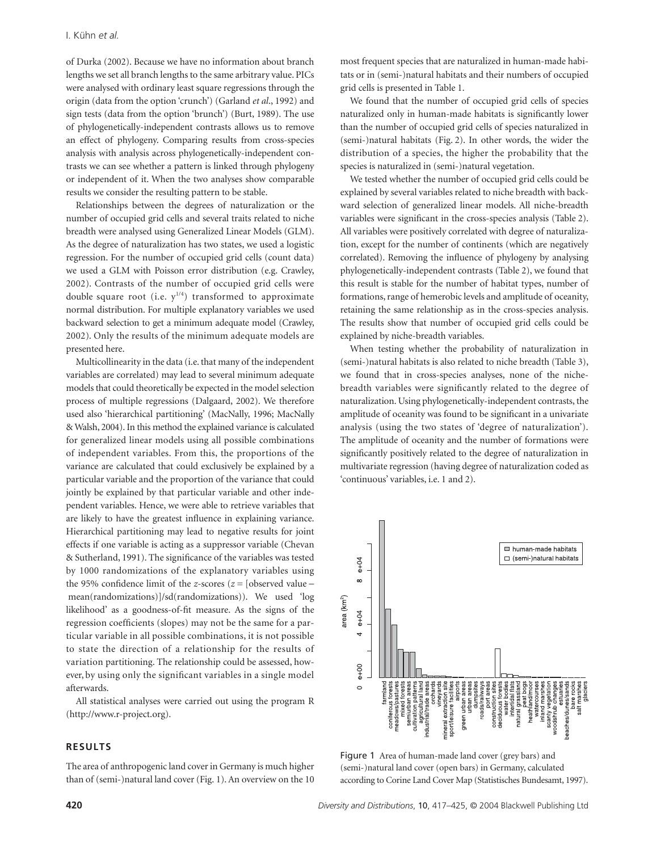of Durka (2002). Because we have no information about branch lengths we set all branch lengths to the same arbitrary value. PICs were analysed with ordinary least square regressions through the origin (data from the option 'crunch') (Garland *et al*., 1992) and sign tests (data from the option 'brunch') (Burt, 1989). The use of phylogenetically-independent contrasts allows us to remove an effect of phylogeny. Comparing results from cross-species analysis with analysis across phylogenetically-independent contrasts we can see whether a pattern is linked through phylogeny or independent of it. When the two analyses show comparable results we consider the resulting pattern to be stable.

Relationships between the degrees of naturalization or the number of occupied grid cells and several traits related to niche breadth were analysed using Generalized Linear Models (GLM). As the degree of naturalization has two states, we used a logistic regression. For the number of occupied grid cells (count data) we used a GLM with Poisson error distribution (e.g. Crawley, 2002). Contrasts of the number of occupied grid cells were double square root (i.e.  $y^{1/4}$ ) transformed to approximate normal distribution. For multiple explanatory variables we used backward selection to get a minimum adequate model (Crawley, 2002). Only the results of the minimum adequate models are presented here.

Multicollinearity in the data (i.e. that many of the independent variables are correlated) may lead to several minimum adequate models that could theoretically be expected in the model selection process of multiple regressions (Dalgaard, 2002). We therefore used also 'hierarchical partitioning' (MacNally, 1996; MacNally & Walsh, 2004). In this method the explained variance is calculated for generalized linear models using all possible combinations of independent variables. From this, the proportions of the variance are calculated that could exclusively be explained by a particular variable and the proportion of the variance that could jointly be explained by that particular variable and other independent variables. Hence, we were able to retrieve variables that are likely to have the greatest influence in explaining variance. Hierarchical partitioning may lead to negative results for joint effects if one variable is acting as a suppressor variable (Chevan & Sutherland, 1991). The significance of the variables was tested by 1000 randomizations of the explanatory variables using the 95% confidence limit of the *z*-scores ( $z =$  [observed value – mean(randomizations)]/sd(randomizations)). We used 'log likelihood' as a goodness-of-fit measure. As the signs of the regression coefficients (slopes) may not be the same for a particular variable in all possible combinations, it is not possible to state the direction of a relationship for the results of variation partitioning. The relationship could be assessed, however, by using only the significant variables in a single model afterwards.

All statistical analyses were carried out using the program R [\(http://www.r-project.org\).](http://www.r-project.org)

## **RESULTS**

The area of anthropogenic land cover in Germany is much higher than of (semi-)natural land cover (Fig. 1). An overview on the 10

most frequent species that are naturalized in human-made habitats or in (semi-)natural habitats and their numbers of occupied grid cells is presented in Table 1.

We found that the number of occupied grid cells of species naturalized only in human-made habitats is significantly lower than the number of occupied grid cells of species naturalized in (semi-)natural habitats (Fig. 2). In other words, the wider the distribution of a species, the higher the probability that the species is naturalized in (semi-)natural vegetation.

We tested whether the number of occupied grid cells could be explained by several variables related to niche breadth with backward selection of generalized linear models. All niche-breadth variables were significant in the cross-species analysis (Table 2). All variables were positively correlated with degree of naturalization, except for the number of continents (which are negatively correlated). Removing the influence of phylogeny by analysing phylogenetically-independent contrasts (Table 2), we found that this result is stable for the number of habitat types, number of formations, range of hemerobic levels and amplitude of oceanity, retaining the same relationship as in the cross-species analysis. The results show that number of occupied grid cells could be explained by niche-breadth variables.

When testing whether the probability of naturalization in (semi-)natural habitats is also related to niche breadth (Table 3), we found that in cross-species analyses, none of the nichebreadth variables were significantly related to the degree of naturalization. Using phylogenetically-independent contrasts, the amplitude of oceanity was found to be significant in a univariate analysis (using the two states of 'degree of naturalization'). The amplitude of oceanity and the number of formations were significantly positively related to the degree of naturalization in multivariate regression (having degree of naturalization coded as 'continuous' variables, i.e. 1 and 2).



Figure 1 Area of human-made land cover (grey bars) and (semi-)natural land cover (open bars) in Germany, calculated according to Corine Land Cover Map (Statistisches Bundesamt, 1997).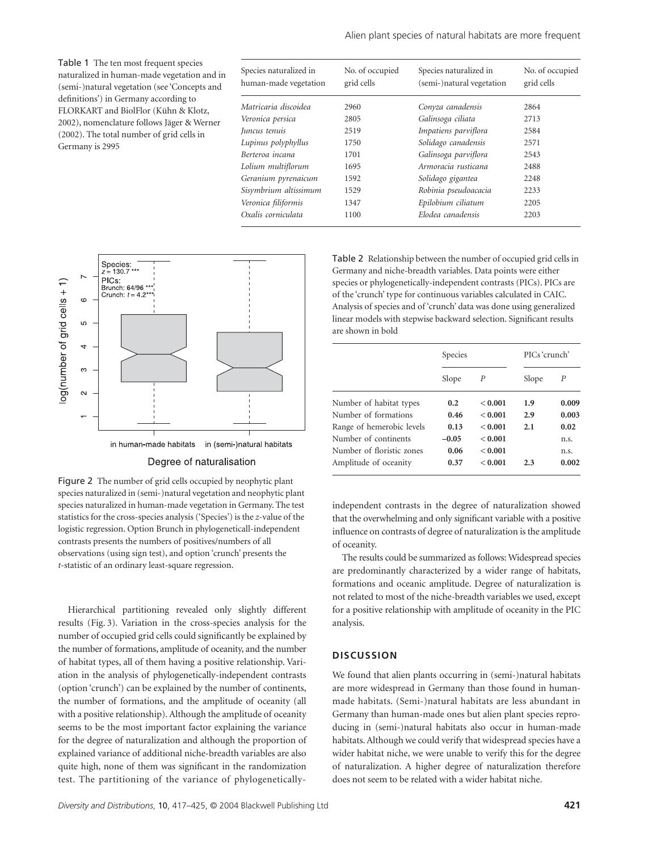Table 1 The ten most frequent species naturalized in human-made vegetation and in (semi-)natural vegetation (see 'Concepts and definitions') in Germany according to FLORKART and BiolFlor (Kühn & Klotz, 2002), nomenclature follows Jäger & Werner (2002). The total number of grid cells in Germany is 2995

| Species naturalized in<br>human-made vegetation | No. of occupied<br>grid cells | Species naturalized in<br>(semi-)natural vegetation | No. of occupied<br>grid cells |  |
|-------------------------------------------------|-------------------------------|-----------------------------------------------------|-------------------------------|--|
| Matricaria discoidea                            | 2960                          | Conyza canadensis                                   | 2864                          |  |
| Veronica persica                                | 2805                          | Galinsoga ciliata                                   | 2713                          |  |
| Juncus tenuis                                   | 2519                          | Impatiens parviflora                                | 2584                          |  |
| Lupinus polyphyllus                             | 1750                          | Solidago canadensis                                 | 2571                          |  |
| Berteroa incana                                 | 1701                          | Galinsoga parviflora                                | 2543                          |  |
| Lolium multiflorum                              | 1695                          | Armoracia rusticana                                 | 2488                          |  |
| Geranium pyrenaicum                             | 1592                          | Solidago gigantea                                   | 2248                          |  |
| Sisymbrium altissimum                           | 1529                          | Robinia pseudoacacia                                | 2233                          |  |
| Veronica filiformis                             | 1347                          | Epilobium ciliatum                                  | 2205                          |  |
| Oxalis corniculata                              | 1100                          | Elodea canadensis                                   | 2203                          |  |



#### Degree of naturalisation

Figure 2 The number of grid cells occupied by neophytic plant species naturalized in (semi-)natural vegetation and neophytic plant species naturalized in human-made vegetation in Germany. The test statistics for the cross-species analysis ('Species') is the *z*-value of the logistic regression. Option Brunch in phylogeneticall-independent contrasts presents the numbers of positives/numbers of all observations (using sign test), and option 'crunch' presents the *t*-statistic of an ordinary least-square regression.

Hierarchical partitioning revealed only slightly different results (Fig. 3). Variation in the cross-species analysis for the number of occupied grid cells could significantly be explained by the number of formations, amplitude of oceanity, and the number of habitat types, all of them having a positive relationship. Variation in the analysis of phylogenetically-independent contrasts (option 'crunch') can be explained by the number of continents, the number of formations, and the amplitude of oceanity (all with a positive relationship). Although the amplitude of oceanity seems to be the most important factor explaining the variance for the degree of naturalization and although the proportion of explained variance of additional niche-breadth variables are also quite high, none of them was significant in the randomization test. The partitioning of the variance of phylogeneticallyTable 2 Relationship between the number of occupied grid cells in Germany and niche-breadth variables. Data points were either species or phylogenetically-independent contrasts (PICs). PICs are of the 'crunch' type for continuous variables calculated in CAIC. Analysis of species and of 'crunch' data was done using generalized linear models with stepwise backward selection. Significant results are shown in bold

|                           | Species |         | PICs 'crunch' |       |
|---------------------------|---------|---------|---------------|-------|
|                           | Slope   | P       | Slope         | P     |
| Number of habitat types   | 0.2     | < 0.001 | 1.9           | 0.009 |
| Number of formations      | 0.46    | < 0.001 | 2.9           | 0.003 |
| Range of hemerobic levels | 0.13    | < 0.001 | 2.1           | 0.02  |
| Number of continents      | $-0.05$ | < 0.001 |               | n.s.  |
| Number of floristic zones | 0.06    | < 0.001 |               | n.s.  |
| Amplitude of oceanity     | 0.37    | < 0.001 | 2.3           | 0.002 |
|                           |         |         |               |       |

independent contrasts in the degree of naturalization showed that the overwhelming and only significant variable with a positive influence on contrasts of degree of naturalization is the amplitude of oceanity.

The results could be summarized as follows: Widespread species are predominantly characterized by a wider range of habitats, formations and oceanic amplitude. Degree of naturalization is not related to most of the niche-breadth variables we used, except for a positive relationship with amplitude of oceanity in the PIC analysis.

### **DISCUSSION**

We found that alien plants occurring in (semi-)natural habitats are more widespread in Germany than those found in humanmade habitats. (Semi-)natural habitats are less abundant in Germany than human-made ones but alien plant species reproducing in (semi-)natural habitats also occur in human-made habitats. Although we could verify that widespread species have a wider habitat niche, we were unable to verify this for the degree of naturalization. A higher degree of naturalization therefore does not seem to be related with a wider habitat niche.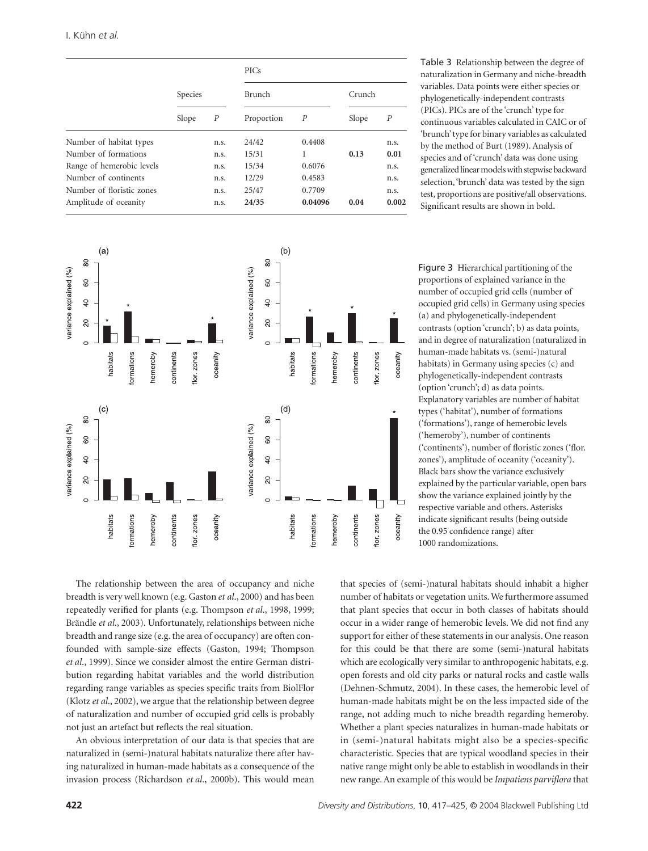|                           |         |                  | <b>PICs</b>   |                  |        |       |
|---------------------------|---------|------------------|---------------|------------------|--------|-------|
|                           | Species |                  | <b>Brunch</b> |                  | Crunch |       |
|                           | Slope   | $\boldsymbol{P}$ | Proportion    | $\boldsymbol{P}$ | Slope  | Р     |
| Number of habitat types   |         | n.s.             | 24/42         | 0.4408           |        | n.s.  |
| Number of formations      |         | n.s.             | 15/31         | 1                | 0.13   | 0.01  |
| Range of hemerobic levels |         | n.s.             | 15/34         | 0.6076           |        | n.s.  |
| Number of continents      |         | n.s.             | 12/29         | 0.4583           |        | n.s.  |
| Number of floristic zones |         | n.s.             | 25/47         | 0.7709           |        | n.s.  |
| Amplitude of oceanity     |         | n.s.             | 24/35         | 0.04096          | 0.04   | 0.002 |

Table 3 Relationship between the degree of naturalization in Germany and niche-breadth variables. Data points were either species or phylogenetically-independent contrasts (PICs). PICs are of the 'crunch' type for continuous variables calculated in CAIC or of 'brunch' type for binary variables as calculated by the method of Burt (1989). Analysis of species and of 'crunch' data was done using generalized linear models with stepwise backward selection, 'brunch' data was tested by the sign test, proportions are positive/all observations. Significant results are shown in bold.



Figure 3 Hierarchical partitioning of the proportions of explained variance in the number of occupied grid cells (number of occupied grid cells) in Germany using species (a) and phylogenetically-independent contrasts (option 'crunch'; b) as data points, and in degree of naturalization (naturalized in human-made habitats vs. (semi-)natural habitats) in Germany using species (c) and phylogenetically-independent contrasts (option 'crunch'; d) as data points. Explanatory variables are number of habitat types ('habitat'), number of formations ('formations'), range of hemerobic levels ('hemeroby'), number of continents ('continents'), number of floristic zones ('flor. zones'), amplitude of oceanity ('oceanity'). Black bars show the variance exclusively explained by the particular variable, open bars show the variance explained jointly by the respective variable and others. Asterisks indicate significant results (being outside the 0.95 confidence range) after 1000 randomizations.

The relationship between the area of occupancy and niche breadth is very well known (e.g. Gaston *et al*., 2000) and has been repeatedly verified for plants (e.g. Thompson *et al*., 1998, 1999; Brändle *et al*., 2003). Unfortunately, relationships between niche breadth and range size (e.g. the area of occupancy) are often confounded with sample-size effects (Gaston, 1994; Thompson *et al*., 1999). Since we consider almost the entire German distribution regarding habitat variables and the world distribution regarding range variables as species specific traits from BiolFlor (Klotz *et al*., 2002), we argue that the relationship between degree of naturalization and number of occupied grid cells is probably not just an artefact but reflects the real situation.

An obvious interpretation of our data is that species that are naturalized in (semi-)natural habitats naturalize there after having naturalized in human-made habitats as a consequence of the invasion process (Richardson *et al*., 2000b). This would mean

that species of (semi-)natural habitats should inhabit a higher number of habitats or vegetation units. We furthermore assumed that plant species that occur in both classes of habitats should occur in a wider range of hemerobic levels. We did not find any support for either of these statements in our analysis. One reason for this could be that there are some (semi-)natural habitats which are ecologically very similar to anthropogenic habitats, e.g. open forests and old city parks or natural rocks and castle walls (Dehnen-Schmutz, 2004). In these cases, the hemerobic level of human-made habitats might be on the less impacted side of the range, not adding much to niche breadth regarding hemeroby. Whether a plant species naturalizes in human-made habitats or in (semi-)natural habitats might also be a species-specific characteristic. Species that are typical woodland species in their native range might only be able to establish in woodlands in their new range. An example of this would be *Impatiens parviflora* that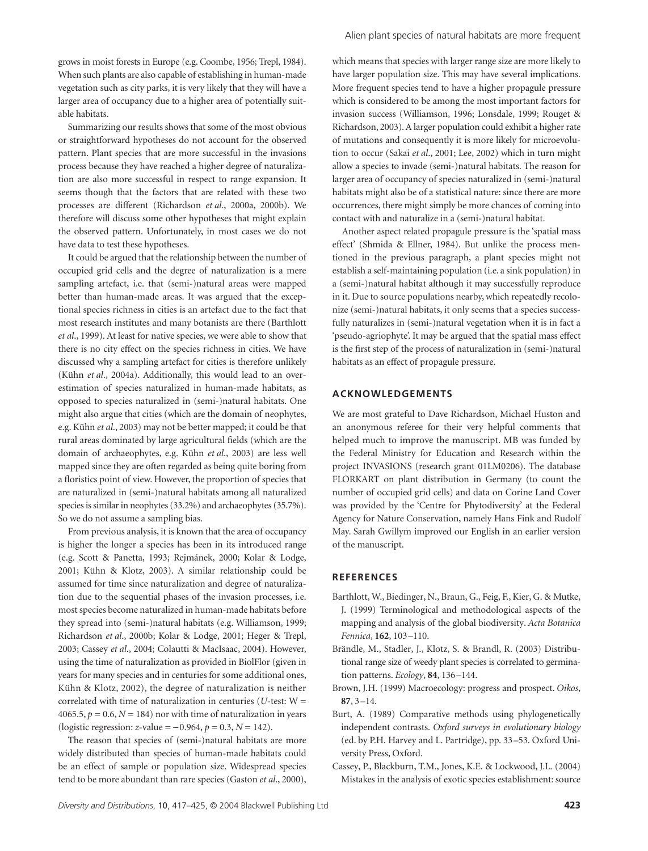grows in moist forests in Europe (e.g. Coombe, 1956; Trepl, 1984). When such plants are also capable of establishing in human-made vegetation such as city parks, it is very likely that they will have a larger area of occupancy due to a higher area of potentially suitable habitats.

Summarizing our results shows that some of the most obvious or straightforward hypotheses do not account for the observed pattern. Plant species that are more successful in the invasions process because they have reached a higher degree of naturalization are also more successful in respect to range expansion. It seems though that the factors that are related with these two processes are different (Richardson *et al*., 2000a, 2000b). We therefore will discuss some other hypotheses that might explain the observed pattern. Unfortunately, in most cases we do not have data to test these hypotheses.

It could be argued that the relationship between the number of occupied grid cells and the degree of naturalization is a mere sampling artefact, i.e. that (semi-)natural areas were mapped better than human-made areas. It was argued that the exceptional species richness in cities is an artefact due to the fact that most research institutes and many botanists are there (Barthlott *et al*., 1999). At least for native species, we were able to show that there is no city effect on the species richness in cities. We have discussed why a sampling artefact for cities is therefore unlikely (Kühn *et al*., 2004a). Additionally, this would lead to an overestimation of species naturalized in human-made habitats, as opposed to species naturalized in (semi-)natural habitats. One might also argue that cities (which are the domain of neophytes, e.g. Kühn *et al*., 2003) may not be better mapped; it could be that rural areas dominated by large agricultural fields (which are the domain of archaeophytes, e.g. Kühn *et al*., 2003) are less well mapped since they are often regarded as being quite boring from a floristics point of view. However, the proportion of species that are naturalized in (semi-)natural habitats among all naturalized species is similar in neophytes (33.2%) and archaeophytes (35.7%). So we do not assume a sampling bias.

From previous analysis, it is known that the area of occupancy is higher the longer a species has been in its introduced range (e.g. Scott & Panetta, 1993; Rejmánek, 2000; Kolar & Lodge, 2001; Kühn & Klotz, 2003). A similar relationship could be assumed for time since naturalization and degree of naturalization due to the sequential phases of the invasion processes, i.e. most species become naturalized in human-made habitats before they spread into (semi-)natural habitats (e.g. Williamson, 1999; Richardson *et al*., 2000b; Kolar & Lodge, 2001; Heger & Trepl, 2003; Cassey *et al*., 2004; Colautti & MacIsaac, 2004). However, using the time of naturalization as provided in BiolFlor (given in years for many species and in centuries for some additional ones, Kühn & Klotz, 2002), the degree of naturalization is neither correlated with time of naturalization in centuries (*U*-test: W =  $4065.5, p = 0.6, N = 184$  nor with time of naturalization in years (logistic regression: *z*-value = −0.964, *p* = 0.3, *N* = 142).

The reason that species of (semi-)natural habitats are more widely distributed than species of human-made habitats could be an effect of sample or population size. Widespread species tend to be more abundant than rare species (Gaston *et al*., 2000),

which means that species with larger range size are more likely to have larger population size. This may have several implications. More frequent species tend to have a higher propagule pressure which is considered to be among the most important factors for invasion success (Williamson, 1996; Lonsdale, 1999; Rouget & Richardson, 2003). A larger population could exhibit a higher rate of mutations and consequently it is more likely for microevolution to occur (Sakai *et al*., 2001; Lee, 2002) which in turn might allow a species to invade (semi-)natural habitats. The reason for larger area of occupancy of species naturalized in (semi-)natural habitats might also be of a statistical nature: since there are more occurrences, there might simply be more chances of coming into contact with and naturalize in a (semi-)natural habitat.

Another aspect related propagule pressure is the 'spatial mass effect' (Shmida & Ellner, 1984). But unlike the process mentioned in the previous paragraph, a plant species might not establish a self-maintaining population (i.e. a sink population) in a (semi-)natural habitat although it may successfully reproduce in it. Due to source populations nearby, which repeatedly recolonize (semi-)natural habitats, it only seems that a species successfully naturalizes in (semi-)natural vegetation when it is in fact a 'pseudo-agriophyte'. It may be argued that the spatial mass effect is the first step of the process of naturalization in (semi-)natural habitats as an effect of propagule pressure.

#### **ACKNOWLEDGEMENTS**

We are most grateful to Dave Richardson, Michael Huston and an anonymous referee for their very helpful comments that helped much to improve the manuscript. MB was funded by the Federal Ministry for Education and Research within the project INVASIONS (research grant 01LM0206). The database FLORKART on plant distribution in Germany (to count the number of occupied grid cells) and data on Corine Land Cover was provided by the 'Centre for Phytodiversity' at the Federal Agency for Nature Conservation, namely Hans Fink and Rudolf May. Sarah Gwillym improved our English in an earlier version of the manuscript.

#### **REFERENCES**

- Barthlott, W., Biedinger, N., Braun, G., Feig, F., Kier, G. & Mutke, J. (1999) Terminological and methodological aspects of the mapping and analysis of the global biodiversity. *Acta Botanica Fennica*, **162**, 103–110.
- Brändle, M., Stadler, J., Klotz, S. & Brandl, R. (2003) Distributional range size of weedy plant species is correlated to germination patterns. *Ecology*, **84**, 136–144.
- Brown, J.H. (1999) Macroecology: progress and prospect. *Oikos*, **87**, 3–14.
- Burt, A. (1989) Comparative methods using phylogenetically independent contrasts. *Oxford surveys in evolutionary biology* (ed. by P.H. Harvey and L. Partridge), pp. 33–53. Oxford University Press, Oxford.
- Cassey, P., Blackburn, T.M., Jones, K.E. & Lockwood, J.L. (2004) Mistakes in the analysis of exotic species establishment: source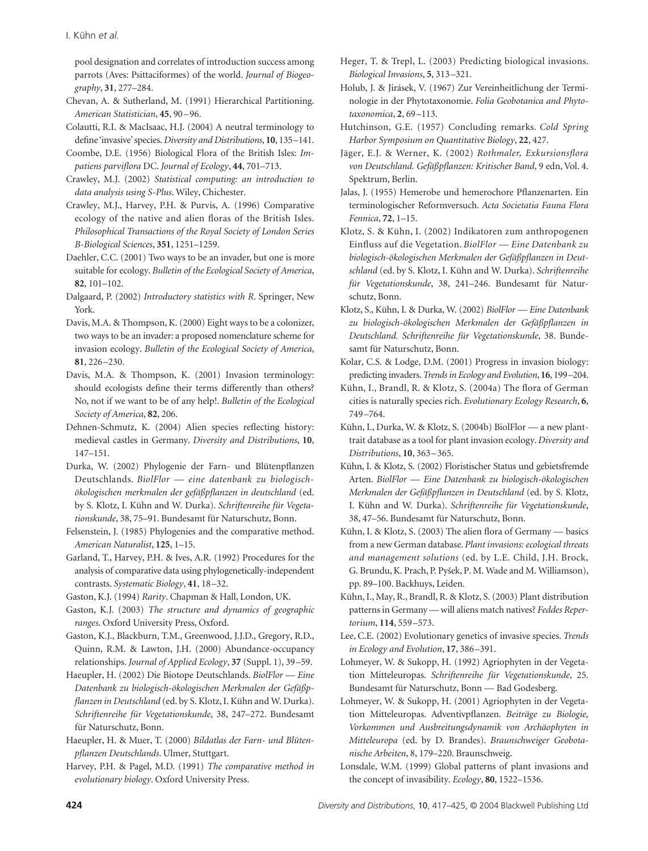pool designation and correlates of introduction success among parrots (Aves: Psittaciformes) of the world. *Journal of Biogeography*, **31**, 277–284.

- Chevan, A. & Sutherland, M. (1991) Hierarchical Partitioning. *American Statistician*, **45**, 90–96.
- Colautti, R.I. & MacIsaac, H.J. (2004) A neutral terminology to define 'invasive' species. *Diversity and Distributions*, **10**, 135–141.
- Coombe, D.E. (1956) Biological Flora of the British Isles: *Impatiens parviflora* DC. *Journal of Ecology*, **44**, 701–713.
- Crawley, M.J. (2002) *Statistical computing: an introduction to data analysis using S-Plus*. Wiley, Chichester.
- Crawley, M.J., Harvey, P.H. & Purvis, A. (1996) Comparative ecology of the native and alien floras of the British Isles. *Philosophical Transactions of the Royal Society of London Series B-Biological Sciences*, **351**, 1251–1259.
- Daehler, C.C. (2001) Two ways to be an invader, but one is more suitable for ecology. *Bulletin of the Ecological Society of America*, **82**, 101–102.
- Dalgaard, P. (2002) *Introductory statistics with R*. Springer, New York.
- Davis, M.A. & Thompson, K. (2000) Eight ways to be a colonizer, two ways to be an invader: a proposed nomenclature scheme for invasion ecology. *Bulletin of the Ecological Society of America*, **81**, 226–230.
- Davis, M.A. & Thompson, K. (2001) Invasion terminology: should ecologists define their terms differently than others? No, not if we want to be of any help!. *Bulletin of the Ecological Society of America*, **82**, 206.
- Dehnen-Schmutz, K. (2004) Alien species reflecting history: medieval castles in Germany. *Diversity and Distributions*, **10**, 147–151.
- Durka, W. (2002) Phylogenie der Farn- und Blütenpflanzen Deutschlands. *BiolFlor — eine datenbank zu biologischökologischen merkmalen der gefäßpflanzen in deutschland* (ed. by S. Klotz, I. Kühn and W. Durka). *Schriftenreihe für Vegetationskunde*, 38, 75–91. Bundesamt für Naturschutz, Bonn.
- Felsenstein, J. (1985) Phylogenies and the comparative method. *American Naturalist*, **125**, 1–15.
- Garland, T., Harvey, P.H. & Ives, A.R. (1992) Procedures for the analysis of comparative data using phylogenetically-independent contrasts. *Systematic Biology*, **41**, 18–32.
- Gaston, K.J. (1994) *Rarity*. Chapman & Hall, London, UK.
- Gaston, K.J. (2003) *The structure and dynamics of geographic ranges*. Oxford University Press, Oxford.
- Gaston, K.J., Blackburn, T.M., Greenwood, J.J.D., Gregory, R.D., Quinn, R.M. & Lawton, J.H. (2000) Abundance-occupancy relationships. *Journal of Applied Ecology*, **37** (Suppl. 1), 39–59.
- Haeupler, H. (2002) Die Biotope Deutschlands. *BiolFlor Eine Datenbank zu biologisch-ökologischen Merkmalen der Gefäßpflanzen in Deutschland* (ed. by S. Klotz, I. Kühn and W. Durka). *Schriftenreihe für Vegetationskunde*, 38, 247–272. Bundesamt für Naturschutz, Bonn.
- Haeupler, H. & Muer, T. (2000) *Bildatlas der Farn- und Blütenpflanzen Deutschlands*. Ulmer, Stuttgart.
- Harvey, P.H. & Pagel, M.D. (1991) *The comparative method in evolutionary biology*. Oxford University Press.
- Heger, T. & Trepl, L. (2003) Predicting biological invasions. *Biological Invasions*, **5**, 313–321.
- Holub, J. & Jirásek, V. (1967) Zur Vereinheitlichung der Terminologie in der Phytotaxonomie. *Folia Geobotanica and Phytotaxonomica*, **2**, 69–113.
- Hutchinson, G.E. (1957) Concluding remarks. *Cold Spring Harbor Symposium on Quantitative Biology*, **22**, 427.
- Jäger, E.J. & Werner, K. (2002) *Rothmaler, Exkursionsflora von Deutschland. Gefäßpflanzen: Kritischer Band*, 9 edn, Vol. 4. Spektrum, Berlin.
- Jalas, J. (1955) Hemerobe und hemerochore Pflanzenarten. Ein terminologischer Reformversuch. *Acta Societatia Fauna Flora Fennica*, **72**, 1–15.
- Klotz, S. & Kühn, I. (2002) Indikatoren zum anthropogenen Einfluss auf die Vegetation. *BiolFlor — Eine Datenbank zu biologisch-ökologischen Merkmalen der Gefäßpflanzen in Deutschland* (ed. by S. Klotz, I. Kühn and W. Durka). *Schriftenreihe für Vegetationskunde*, 38, 241–246. Bundesamt für Naturschutz, Bonn.
- Klotz, S., Kühn, I. & Durka, W. (2002) *BiolFlor Eine Datenbank zu biologisch-ökologischen Merkmalen der Gefäßpflanzen in Deutschland. Schriftenreihe für Vegetationskunde*, 38. Bundesamt für Naturschutz, Bonn.
- Kolar, C.S. & Lodge, D.M. (2001) Progress in invasion biology: predicting invaders. *Trends in Ecology and Evolution*, **16**, 199–204.
- Kühn, I., Brandl, R. & Klotz, S. (2004a) The flora of German cities is naturally species rich. *Evolutionary Ecology Research*, **6**, 749–764.
- Kühn, I., Durka, W. & Klotz, S. (2004b) BiolFlor *—* a new planttrait database as a tool for plant invasion ecology. *Diversity and Distributions*, **10**, 363–365.
- Kühn, I. & Klotz, S. (2002) Floristischer Status und gebietsfremde Arten. *BiolFlor — Eine Datenbank zu biologisch-ökologischen Merkmalen der Gefäßpflanzen in Deutschland* (ed. by S. Klotz, I. Kühn and W. Durka). *Schriftenreihe für Vegetationskunde*, 38, 47–56. Bundesamt für Naturschutz, Bonn.
- Kühn, I. & Klotz, S. (2003) The alien flora of Germany *—* basics from a new German database. *Plant invasions: ecological threats and management solutions* (ed. by L.E. Child, J.H. Brock, G. Brundu, K. Prach, P. Py*Í*ek, P. M. Wade and M. Williamson), pp. 89–100. Backhuys, Leiden.
- Kühn, I., May, R., Brandl, R. & Klotz, S. (2003) Plant distribution patterns in Germany *—* will aliens match natives? *Feddes Repertorium*, **114**, 559–573.
- Lee, C.E. (2002) Evolutionary genetics of invasive species. *Trends in Ecology and Evolution*, **17**, 386–391.
- Lohmeyer, W. & Sukopp, H. (1992) Agriophyten in der Vegetation Mitteleuropas. *Schriftenreihe für Vegetationskunde*, 25. Bundesamt für Naturschutz, Bonn *—* Bad Godesberg.
- Lohmeyer, W. & Sukopp, H. (2001) Agriophyten in der Vegetation Mitteleuropas. Adventivpflanzen. *Beiträge zu Biologie, Vorkommen und Ausbreitungsdynamik von Archäophyten in Mitteleuropa* (ed. by D. Brandes). *Braunschweiger Geobotanische Arbeiten*, 8, 179–220. Braunschweig.
- Lonsdale, W.M. (1999) Global patterns of plant invasions and the concept of invasibility. *Ecology*, **80**, 1522–1536.